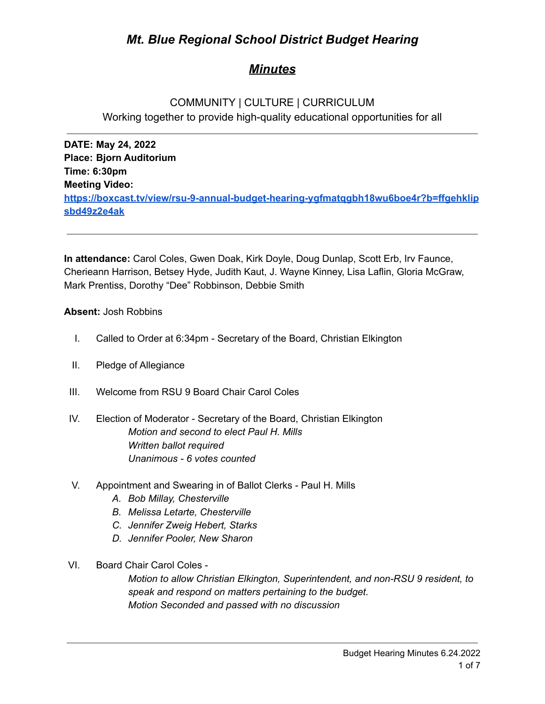# *Mt. Blue Regional School District Budget Hearing*

# *Minutes*

# COMMUNITY | CULTURE | CURRICULUM Working together to provide high-quality educational opportunities for all

**DATE: May 24, 2022 Place: Bjorn Auditorium Time: 6:30pm Meeting Video: [https://boxcast.tv/view/rsu-9-annual-budget-hearing-ygfmatqgbh18wu6boe4r?b=ffgehklip](https://boxcast.tv/view/rsu-9-annual-budget-hearing-ygfmatqgbh18wu6boe4r?b=ffgehklipsbd49z2e4ak) [sbd49z2e4ak](https://boxcast.tv/view/rsu-9-annual-budget-hearing-ygfmatqgbh18wu6boe4r?b=ffgehklipsbd49z2e4ak)**

**In attendance:** Carol Coles, Gwen Doak, Kirk Doyle, Doug Dunlap, Scott Erb, Irv Faunce, Cherieann Harrison, Betsey Hyde, Judith Kaut, J. Wayne Kinney, Lisa Laflin, Gloria McGraw, Mark Prentiss, Dorothy "Dee" Robbinson, Debbie Smith

## **Absent:** Josh Robbins

- I. Called to Order at 6:34pm Secretary of the Board, Christian Elkington
- II. Pledge of Allegiance
- III. Welcome from RSU 9 Board Chair Carol Coles
- IV. Election of Moderator Secretary of the Board, Christian Elkington *Motion and second to elect Paul H. Mills Written ballot required Unanimous - 6 votes counted*
- V. Appointment and Swearing in of Ballot Clerks Paul H. Mills
	- *A. Bob Millay, Chesterville*
	- *B. Melissa Letarte, Chesterville*
	- *C. Jennifer Zweig Hebert, Starks*
	- *D. Jennifer Pooler, New Sharon*
- VI. Board Chair Carol Coles -

*Motion to allow Christian Elkington, Superintendent, and non-RSU 9 resident, to speak and respond on matters pertaining to the budget. Motion Seconded and passed with no discussion*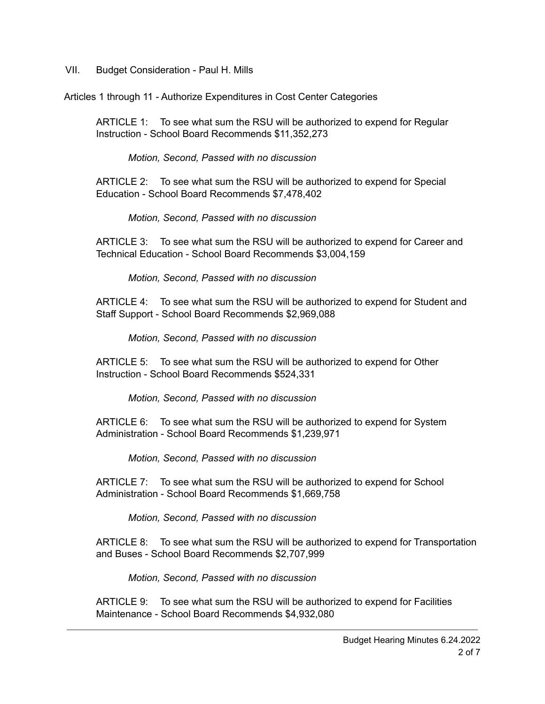VII. Budget Consideration - Paul H. Mills

Articles 1 through 11 - Authorize Expenditures in Cost Center Categories

ARTICLE 1: To see what sum the RSU will be authorized to expend for Regular Instruction - School Board Recommends \$11,352,273

*Motion, Second, Passed with no discussion*

ARTICLE 2: To see what sum the RSU will be authorized to expend for Special Education - School Board Recommends \$7,478,402

*Motion, Second, Passed with no discussion*

ARTICLE 3: To see what sum the RSU will be authorized to expend for Career and Technical Education - School Board Recommends \$3,004,159

*Motion, Second, Passed with no discussion*

ARTICLE 4: To see what sum the RSU will be authorized to expend for Student and Staff Support - School Board Recommends \$2,969,088

*Motion, Second, Passed with no discussion*

ARTICLE 5: To see what sum the RSU will be authorized to expend for Other Instruction - School Board Recommends \$524,331

*Motion, Second, Passed with no discussion*

ARTICLE 6: To see what sum the RSU will be authorized to expend for System Administration - School Board Recommends \$1,239,971

*Motion, Second, Passed with no discussion*

ARTICLE 7: To see what sum the RSU will be authorized to expend for School Administration - School Board Recommends \$1,669,758

*Motion, Second, Passed with no discussion*

ARTICLE 8: To see what sum the RSU will be authorized to expend for Transportation and Buses - School Board Recommends \$2,707,999

*Motion, Second, Passed with no discussion*

ARTICLE 9: To see what sum the RSU will be authorized to expend for Facilities Maintenance - School Board Recommends \$4,932,080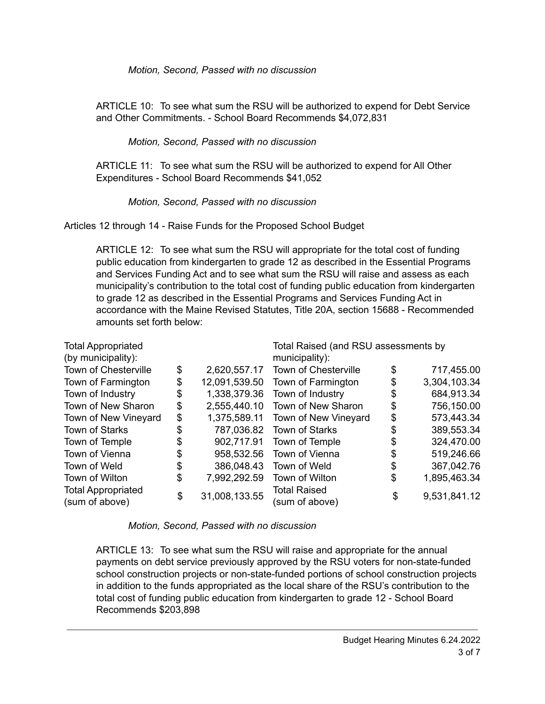*Motion, Second, Passed with no discussion*

ARTICLE 10: To see what sum the RSU will be authorized to expend for Debt Service and Other Commitments. - School Board Recommends \$4,072,831

# *Motion, Second, Passed with no discussion*

ARTICLE 11: To see what sum the RSU will be authorized to expend for All Other Expenditures - School Board Recommends \$41,052

# *Motion, Second, Passed with no discussion*

Articles 12 through 14 - Raise Funds for the Proposed School Budget

ARTICLE 12: To see what sum the RSU will appropriate for the total cost of funding public education from kindergarten to grade 12 as described in the Essential Programs and Services Funding Act and to see what sum the RSU will raise and assess as each municipality's contribution to the total cost of funding public education from kindergarten to grade 12 as described in the Essential Programs and Services Funding Act in accordance with the Maine Revised Statutes, Title 20A, section 15688 - Recommended amounts set forth below:

| <b>Total Appropriated</b>                   |    |               | Total Raised (and RSU assessments by  |    |              |
|---------------------------------------------|----|---------------|---------------------------------------|----|--------------|
| (by municipality):                          |    |               | municipality):                        |    |              |
| <b>Town of Chesterville</b>                 | \$ | 2,620,557.17  | <b>Town of Chesterville</b>           | \$ | 717,455.00   |
| Town of Farmington                          | \$ | 12,091,539.50 | Town of Farmington                    | \$ | 3,304,103.34 |
| Town of Industry                            | \$ | 1,338,379.36  | Town of Industry                      | \$ | 684,913.34   |
| Town of New Sharon                          | \$ | 2,555,440.10  | Town of New Sharon                    | \$ | 756,150.00   |
| Town of New Vineyard                        | \$ | 1,375,589.11  | Town of New Vineyard                  | \$ | 573,443.34   |
| <b>Town of Starks</b>                       | \$ | 787,036.82    | <b>Town of Starks</b>                 | \$ | 389,553.34   |
| Town of Temple                              | \$ | 902,717.91    | Town of Temple                        | \$ | 324,470.00   |
| Town of Vienna                              | \$ | 958,532.56    | Town of Vienna                        | \$ | 519,246.66   |
| Town of Weld                                | \$ | 386,048.43    | Town of Weld                          | \$ | 367,042.76   |
| Town of Wilton                              | \$ | 7,992,292.59  | Town of Wilton                        | \$ | 1,895,463.34 |
| <b>Total Appropriated</b><br>(sum of above) | \$ | 31,008,133.55 | <b>Total Raised</b><br>(sum of above) | \$ | 9,531,841.12 |

*Motion, Second, Passed with no discussion*

ARTICLE 13: To see what sum the RSU will raise and appropriate for the annual payments on debt service previously approved by the RSU voters for non-state-funded school construction projects or non-state-funded portions of school construction projects in addition to the funds appropriated as the local share of the RSU's contribution to the total cost of funding public education from kindergarten to grade 12 - School Board Recommends \$203,898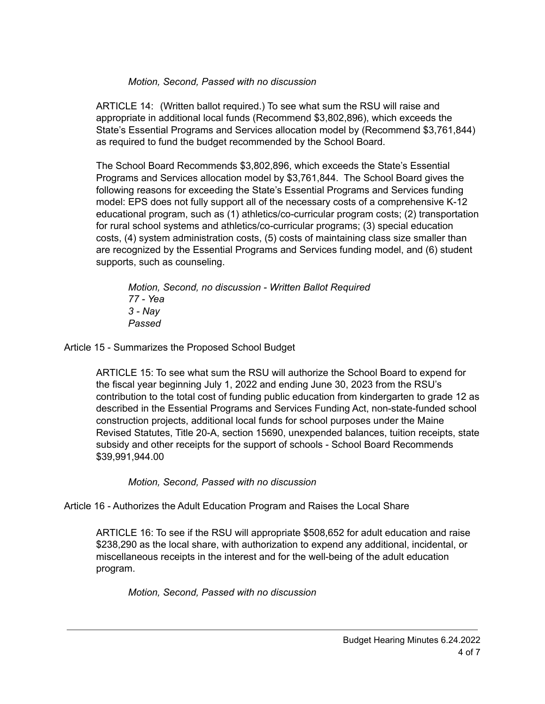## *Motion, Second, Passed with no discussion*

ARTICLE 14: (Written ballot required.) To see what sum the RSU will raise and appropriate in additional local funds (Recommend \$3,802,896), which exceeds the State's Essential Programs and Services allocation model by (Recommend \$3,761,844) as required to fund the budget recommended by the School Board.

The School Board Recommends \$3,802,896, which exceeds the State's Essential Programs and Services allocation model by \$3,761,844. The School Board gives the following reasons for exceeding the State's Essential Programs and Services funding model: EPS does not fully support all of the necessary costs of a comprehensive K-12 educational program, such as (1) athletics/co-curricular program costs; (2) transportation for rural school systems and athletics/co-curricular programs; (3) special education costs, (4) system administration costs, (5) costs of maintaining class size smaller than are recognized by the Essential Programs and Services funding model, and (6) student supports, such as counseling.

*Motion, Second, no discussion - Written Ballot Required 77 - Yea 3 - Nay Passed*

Article 15 - Summarizes the Proposed School Budget

ARTICLE 15: To see what sum the RSU will authorize the School Board to expend for the fiscal year beginning July 1, 2022 and ending June 30, 2023 from the RSU's contribution to the total cost of funding public education from kindergarten to grade 12 as described in the Essential Programs and Services Funding Act, non-state-funded school construction projects, additional local funds for school purposes under the Maine Revised Statutes, Title 20-A, section 15690, unexpended balances, tuition receipts, state subsidy and other receipts for the support of schools - School Board Recommends \$39,991,944.00

*Motion, Second, Passed with no discussion*

Article 16 - Authorizes the Adult Education Program and Raises the Local Share

ARTICLE 16: To see if the RSU will appropriate \$508,652 for adult education and raise \$238,290 as the local share, with authorization to expend any additional, incidental, or miscellaneous receipts in the interest and for the well-being of the adult education program.

*Motion, Second, Passed with no discussion*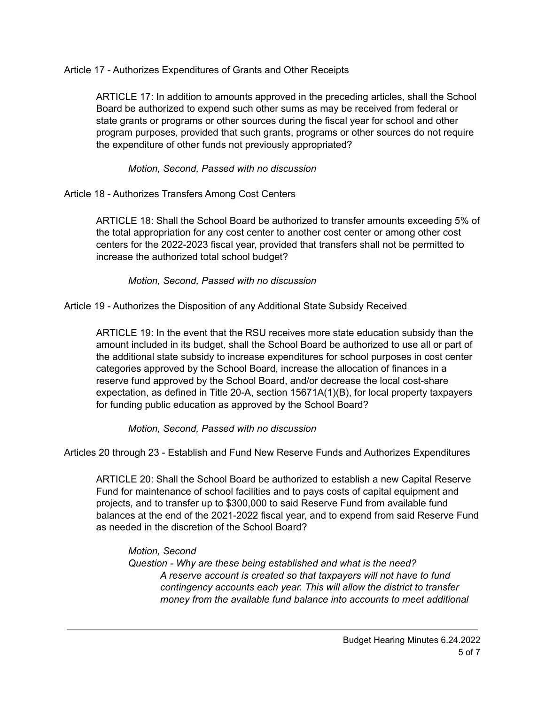Article 17 - Authorizes Expenditures of Grants and Other Receipts

ARTICLE 17: In addition to amounts approved in the preceding articles, shall the School Board be authorized to expend such other sums as may be received from federal or state grants or programs or other sources during the fiscal year for school and other program purposes, provided that such grants, programs or other sources do not require the expenditure of other funds not previously appropriated?

## *Motion, Second, Passed with no discussion*

Article 18 - Authorizes Transfers Among Cost Centers

ARTICLE 18: Shall the School Board be authorized to transfer amounts exceeding 5% of the total appropriation for any cost center to another cost center or among other cost centers for the 2022-2023 fiscal year, provided that transfers shall not be permitted to increase the authorized total school budget?

#### *Motion, Second, Passed with no discussion*

Article 19 - Authorizes the Disposition of any Additional State Subsidy Received

ARTICLE 19: In the event that the RSU receives more state education subsidy than the amount included in its budget, shall the School Board be authorized to use all or part of the additional state subsidy to increase expenditures for school purposes in cost center categories approved by the School Board, increase the allocation of finances in a reserve fund approved by the School Board, and/or decrease the local cost-share expectation, as defined in Title 20-A, section 15671A(1)(B), for local property taxpayers for funding public education as approved by the School Board?

*Motion, Second, Passed with no discussion*

Articles 20 through 23 - Establish and Fund New Reserve Funds and Authorizes Expenditures

ARTICLE 20: Shall the School Board be authorized to establish a new Capital Reserve Fund for maintenance of school facilities and to pays costs of capital equipment and projects, and to transfer up to \$300,000 to said Reserve Fund from available fund balances at the end of the 2021-2022 fiscal year, and to expend from said Reserve Fund as needed in the discretion of the School Board?

*Motion, Second Question - Why are these being established and what is the need? A reserve account is created so that taxpayers will not have to fund contingency accounts each year. This will allow the district to transfer money from the available fund balance into accounts to meet additional*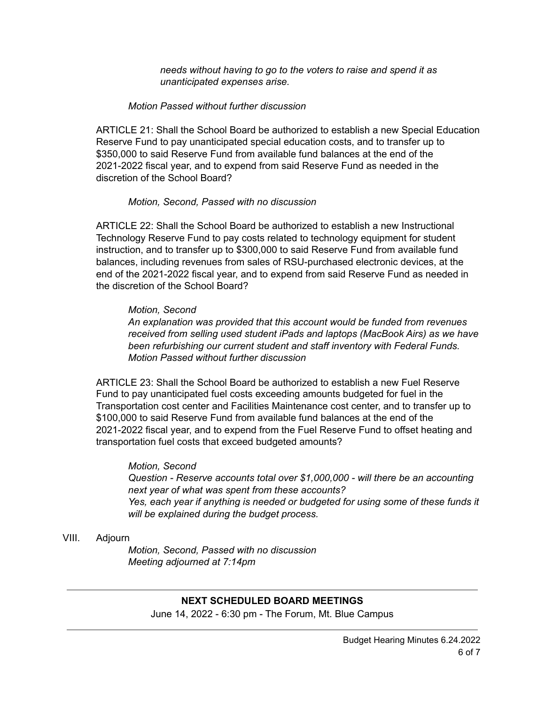*needs without having to go to the voters to raise and spend it as unanticipated expenses arise.*

#### *Motion Passed without further discussion*

ARTICLE 21: Shall the School Board be authorized to establish a new Special Education Reserve Fund to pay unanticipated special education costs, and to transfer up to \$350,000 to said Reserve Fund from available fund balances at the end of the 2021-2022 fiscal year, and to expend from said Reserve Fund as needed in the discretion of the School Board?

#### *Motion, Second, Passed with no discussion*

ARTICLE 22: Shall the School Board be authorized to establish a new Instructional Technology Reserve Fund to pay costs related to technology equipment for student instruction, and to transfer up to \$300,000 to said Reserve Fund from available fund balances, including revenues from sales of RSU-purchased electronic devices, at the end of the 2021-2022 fiscal year, and to expend from said Reserve Fund as needed in the discretion of the School Board?

#### *Motion, Second*

*An explanation was provided that this account would be funded from revenues received from selling used student iPads and laptops (MacBook Airs) as we have been refurbishing our current student and staff inventory with Federal Funds. Motion Passed without further discussion*

ARTICLE 23: Shall the School Board be authorized to establish a new Fuel Reserve Fund to pay unanticipated fuel costs exceeding amounts budgeted for fuel in the Transportation cost center and Facilities Maintenance cost center, and to transfer up to \$100,000 to said Reserve Fund from available fund balances at the end of the 2021-2022 fiscal year, and to expend from the Fuel Reserve Fund to offset heating and transportation fuel costs that exceed budgeted amounts?

#### *Motion, Second*

*Question - Reserve accounts total over \$1,000,000 - will there be an accounting next year of what was spent from these accounts? Yes, each year if anything is needed or budgeted for using some of these funds it will be explained during the budget process.*

#### VIII. Adjourn

*Motion, Second, Passed with no discussion Meeting adjourned at 7:14pm*

#### **NEXT SCHEDULED BOARD MEETINGS**

June 14, 2022 - 6:30 pm - The Forum, Mt. Blue Campus